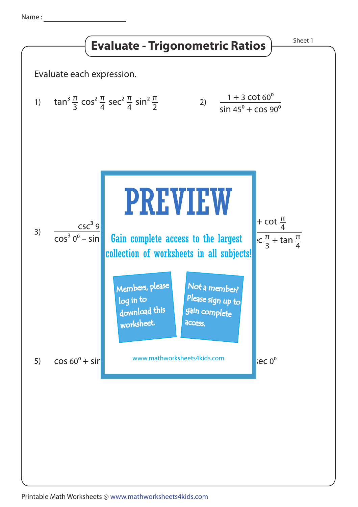